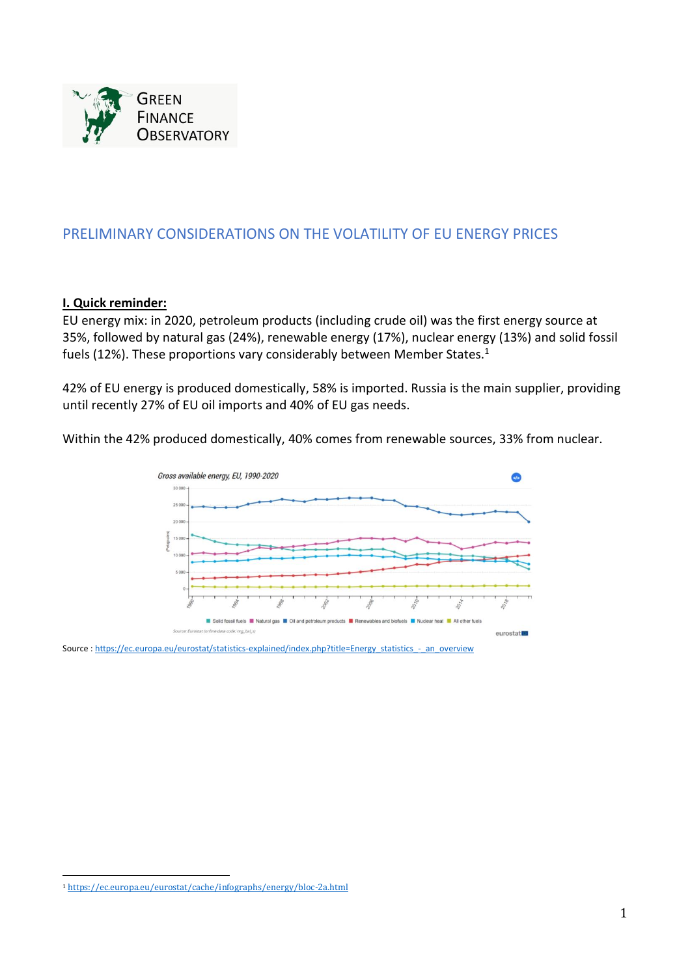

# PRELIMINARY CONSIDERATIONS ON THE VOLATILITY OF EU ENERGY PRICES

### **I. Quick reminder:**

EU energy mix: in 2020, petroleum products (including crude oil) was the first energy source at 35%, followed by natural gas (24%), renewable energy (17%), nuclear energy (13%) and solid fossil fuels (12%). These proportions vary considerably between Member States.<sup>1</sup>

42% of EU energy is produced domestically, 58% is imported. Russia is the main supplier, providing until recently 27% of EU oil imports and 40% of EU gas needs.

Within the 42% produced domestically, 40% comes from renewable sources, 33% from nuclear.



Source : [https://ec.europa.eu/eurostat/statistics-explained/index.php?title=Energy\\_statistics\\_-\\_an\\_overview](https://ec.europa.eu/eurostat/statistics-explained/index.php?title=Energy_statistics_-_an_overview)

<sup>1</sup> <https://ec.europa.eu/eurostat/cache/infographs/energy/bloc-2a.html>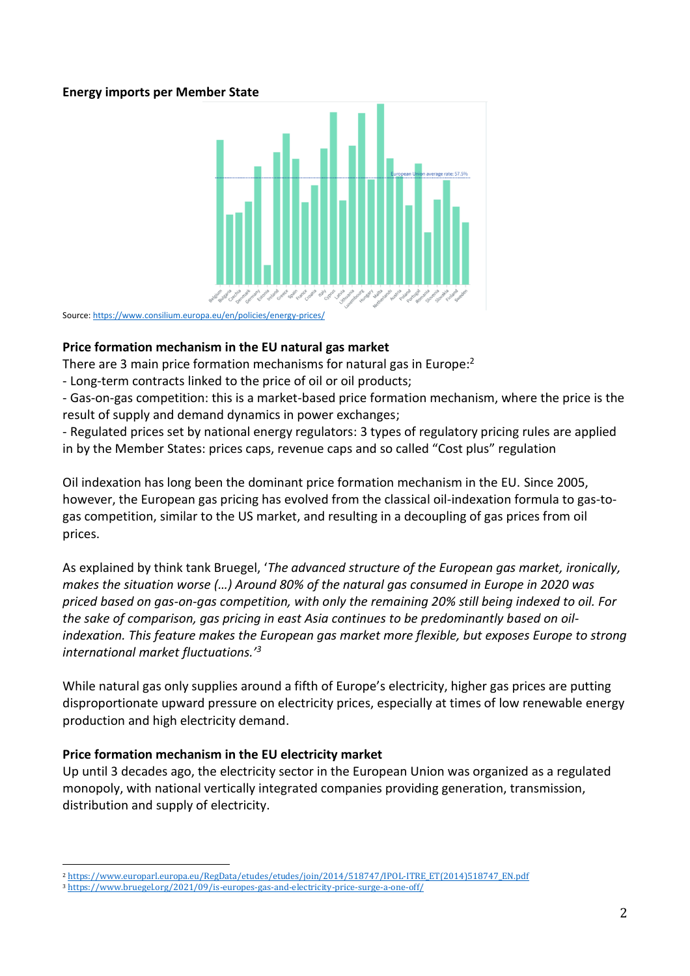## **Energy imports per Member State**



Source[: https://www.consilium.europa.eu/en/policies/energy-prices/](https://www.consilium.europa.eu/en/policies/energy-prices/)

### **Price formation mechanism in the EU natural gas market**

There are 3 main price formation mechanisms for natural gas in Europe:<sup>2</sup>

- Long-term contracts linked to the price of oil or oil products;

- Gas-on-gas competition: this is a market-based price formation mechanism, where the price is the result of supply and demand dynamics in power exchanges;

- Regulated prices set by national energy regulators: 3 types of regulatory pricing rules are applied in by the Member States: prices caps, revenue caps and so called "Cost plus" regulation

Oil indexation has long been the dominant price formation mechanism in the EU. Since 2005, however, the European gas pricing has evolved from the classical oil-indexation formula to gas-togas competition, similar to the US market, and resulting in a decoupling of gas prices from oil prices.

As explained by think tank Bruegel, '*The advanced structure of the European gas market, ironically, makes the situation worse (…) Around 80% of the natural gas consumed in Europe in 2020 was priced based on gas-on-gas competition, with only the remaining 20% still being indexed to oil. For the sake of comparison, gas pricing in east Asia continues to be predominantly based on oilindexation. This feature makes the European gas market more flexible, but exposes Europe to strong international market fluctuations.'<sup>3</sup>*

While natural gas only supplies around a fifth of Europe's electricity, higher gas prices are putting disproportionate upward pressure on electricity prices, especially at times of low renewable energy production and high electricity demand.

## **Price formation mechanism in the EU electricity market**

Up until 3 decades ago, the electricity sector in the European Union was organized as a regulated monopoly, with national vertically integrated companies providing generation, transmission, distribution and supply of electricity.

<sup>2</sup> [https://www.europarl.europa.eu/RegData/etudes/etudes/join/2014/518747/IPOL-ITRE\\_ET\(2014\)518747\\_EN.pdf](https://www.europarl.europa.eu/RegData/etudes/etudes/join/2014/518747/IPOL-ITRE_ET(2014)518747_EN.pdf)

<sup>3</sup> <https://www.bruegel.org/2021/09/is-europes-gas-and-electricity-price-surge-a-one-off/>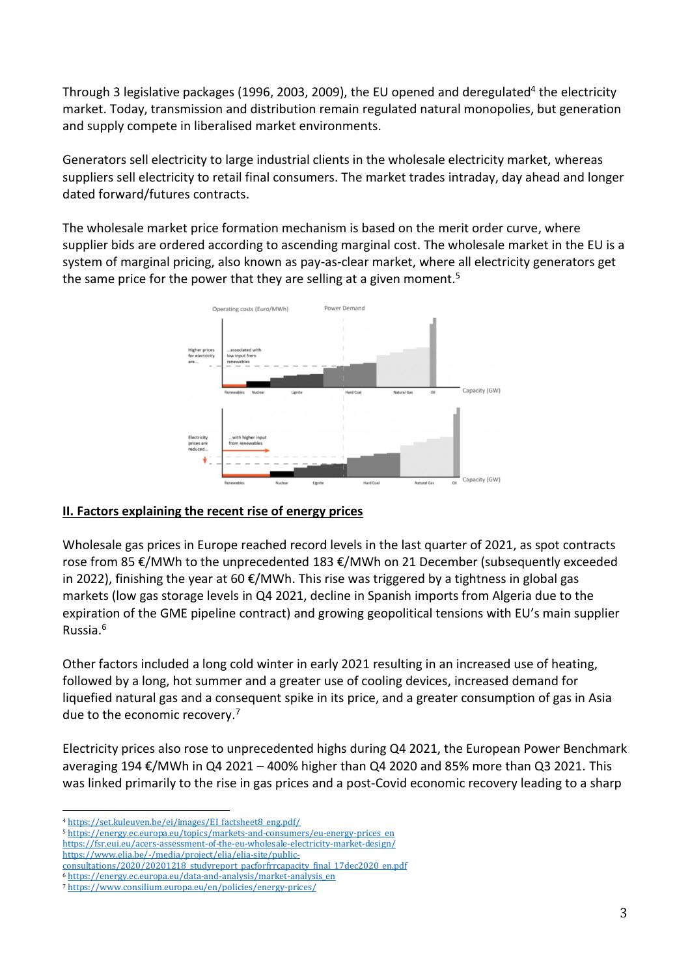Through 3 legislative packages (1996, 2003, 2009), the EU opened and deregulated<sup>4</sup> the electricity market. Today, transmission and distribution remain regulated natural monopolies, but generation and supply compete in liberalised market environments.

Generators sell electricity to large industrial clients in the wholesale electricity market, whereas suppliers sell electricity to retail final consumers. The market trades intraday, day ahead and longer dated forward/futures contracts.

The wholesale market price formation mechanism is based on the merit order curve, where supplier bids are ordered according to ascending marginal cost. The wholesale market in the EU is a system of marginal pricing, also known as pay-as-clear market, where all electricity generators get the same price for the power that they are selling at a given moment.<sup>5</sup>



## **II. Factors explaining the recent rise of energy prices**

Wholesale gas prices in Europe reached record levels in the last quarter of 2021, as spot contracts rose from 85 €/MWh to the unprecedented 183 €/MWh on 21 December (subsequently exceeded in 2022), finishing the year at 60 €/MWh. This rise was triggered by a tightness in global gas markets (low gas storage levels in Q4 2021, decline in Spanish imports from Algeria due to the expiration of the GME pipeline contract) and growing geopolitical tensions with EU's main supplier Russia. 6

Other factors included a long cold winter in early 2021 resulting in an increased use of heating, followed by a long, hot summer and a greater use of cooling devices, increased demand for liquefied natural gas and a consequent spike in its price, and a greater consumption of gas in Asia due to the economic recovery. 7

Electricity prices also rose to unprecedented highs during Q4 2021, the European Power Benchmark averaging 194  $\epsilon$ /MWh in Q4 2021 – 400% higher than Q4 2020 and 85% more than Q3 2021. This was linked primarily to the rise in gas prices and a post-Covid economic recovery leading to a sharp

[https://www.elia.be/-/media/project/elia/elia-site/public-](https://www.elia.be/-/media/project/elia/elia-site/public-consultations/2020/20201218_studyreport_pacforfrrcapacity_final_17dec2020_en.pdf)

<sup>4</sup> [https://set.kuleuven.be/ei/images/EI\\_factsheet8\\_eng.pdf/](https://set.kuleuven.be/ei/images/EI_factsheet8_eng.pdf/)

<sup>5</sup> [https://energy.ec.europa.eu/topics/markets-and-consumers/eu-energy-prices\\_en](https://energy.ec.europa.eu/topics/markets-and-consumers/eu-energy-prices_en) <https://fsr.eui.eu/acers-assessment-of-the-eu-wholesale-electricity-market-design/>

[consultations/2020/20201218\\_studyreport\\_pacforfrrcapacity\\_final\\_17dec2020\\_en.pdf](https://www.elia.be/-/media/project/elia/elia-site/public-consultations/2020/20201218_studyreport_pacforfrrcapacity_final_17dec2020_en.pdf)

<sup>6</sup> [https://energy.ec.europa.eu/data-and-analysis/market-analysis\\_en](https://energy.ec.europa.eu/data-and-analysis/market-analysis_en)

<sup>7</sup> <https://www.consilium.europa.eu/en/policies/energy-prices/>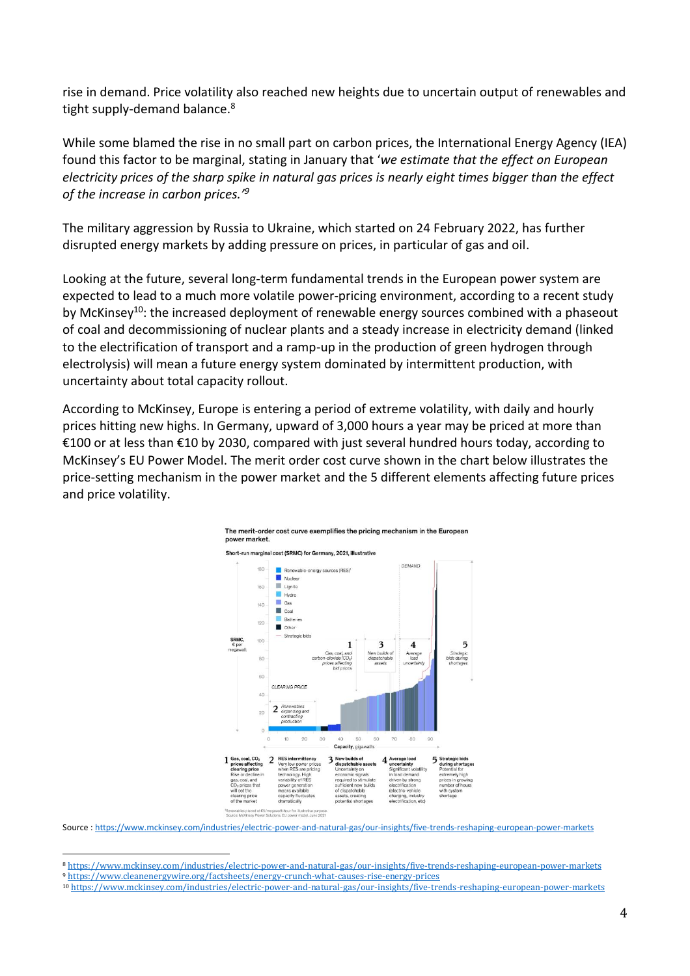rise in demand. Price volatility also reached new heights due to uncertain output of renewables and tight supply-demand balance. 8

While some blamed the rise in no small part on carbon prices, the International Energy Agency (IEA) found this factor to be marginal, stating in January that '*we estimate that the effect on European electricity prices of the sharp spike in natural gas prices is nearly eight times bigger than the effect of the increase in carbon prices.' 9*

The military aggression by Russia to Ukraine, which started on 24 February 2022, has further disrupted energy markets by adding pressure on prices, in particular of gas and oil.

Looking at the future, several long-term fundamental trends in the European power system are expected to lead to a much more volatile power-pricing environment, according to a recent study by McKinsey<sup>10</sup>: the increased deployment of renewable energy sources combined with a phaseout of coal and decommissioning of nuclear plants and a steady increase in electricity demand (linked to the electrification of transport and a ramp-up in the production of green hydrogen through electrolysis) will mean a future energy system dominated by intermittent production, with uncertainty about total capacity rollout.

According to McKinsey, Europe is entering a period of extreme volatility, with daily and hourly prices hitting new highs. In Germany, upward of 3,000 hours a year may be priced at more than €100 or at less than €10 by 2030, compared with just several hundred hours today, according to McKinsey's EU Power Model. The merit order cost curve shown in the chart below illustrates the price-setting mechanism in the power market and the 5 different elements affecting future prices and price volatility.

The merit-order cost curve exemplifies the pricing mechanism in the European



Source : <https://www.mckinsey.com/industries/electric-power-and-natural-gas/our-insights/five-trends-reshaping-european-power-markets>

<sup>8</sup> <https://www.mckinsey.com/industries/electric-power-and-natural-gas/our-insights/five-trends-reshaping-european-power-markets>

<sup>9</sup> <https://www.cleanenergywire.org/factsheets/energy-crunch-what-causes-rise-energy-prices>

<sup>10</sup> <https://www.mckinsey.com/industries/electric-power-and-natural-gas/our-insights/five-trends-reshaping-european-power-markets>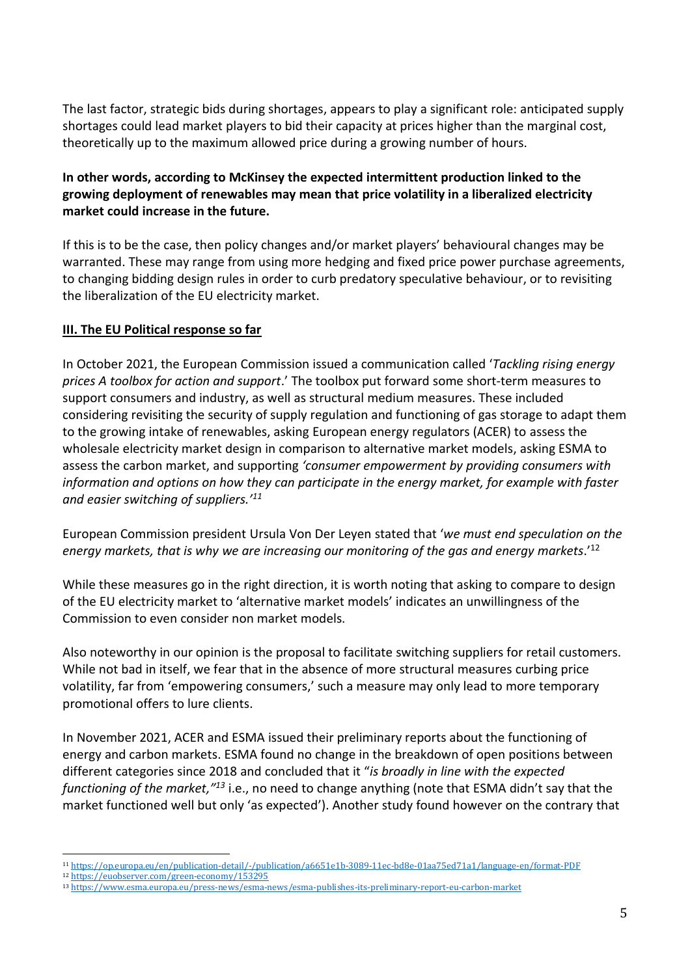The last factor, strategic bids during shortages, appears to play a significant role: anticipated supply shortages could lead market players to bid their capacity at prices higher than the marginal cost, theoretically up to the maximum allowed price during a growing number of hours.

## **In other words, according to McKinsey the expected intermittent production linked to the growing deployment of renewables may mean that price volatility in a liberalized electricity market could increase in the future.**

If this is to be the case, then policy changes and/or market players' behavioural changes may be warranted. These may range from using more hedging and fixed price power purchase agreements, to changing bidding design rules in order to curb predatory speculative behaviour, or to revisiting the liberalization of the EU electricity market.

## **III. The EU Political response so far**

In October 2021, the European Commission issued a communication called '*Tackling rising energy prices A toolbox for action and support*.' The toolbox put forward some short-term measures to support consumers and industry, as well as structural medium measures. These included considering revisiting the security of supply regulation and functioning of gas storage to adapt them to the growing intake of renewables, asking European energy regulators (ACER) to assess the wholesale electricity market design in comparison to alternative market models, asking ESMA to assess the carbon market, and supporting *'consumer empowerment by providing consumers with information and options on how they can participate in the energy market, for example with faster and easier switching of suppliers.' 11*

European Commission president Ursula Von Der Leyen stated that '*we must end speculation on the energy markets, that is why we are increasing our monitoring of the gas and energy markets*.' 12

While these measures go in the right direction, it is worth noting that asking to compare to design of the EU electricity market to 'alternative market models' indicates an unwillingness of the Commission to even consider non market models.

Also noteworthy in our opinion is the proposal to facilitate switching suppliers for retail customers. While not bad in itself, we fear that in the absence of more structural measures curbing price volatility, far from 'empowering consumers,' such a measure may only lead to more temporary promotional offers to lure clients.

In November 2021, ACER and ESMA issued their preliminary reports about the functioning of energy and carbon markets. ESMA found no change in the breakdown of open positions between different categories since 2018 and concluded that it "*is broadly in line with the expected functioning of the market," <sup>13</sup>* i.e., no need to change anything (note that ESMA didn't say that the market functioned well but only 'as expected'). Another study found however on the contrary that

<sup>11</sup> <https://op.europa.eu/en/publication-detail/-/publication/a6651e1b-3089-11ec-bd8e-01aa75ed71a1/language-en/format-PDF>

<sup>12</sup> <https://euobserver.com/green-economy/153295>

<sup>13</sup> <https://www.esma.europa.eu/press-news/esma-news/esma-publishes-its-preliminary-report-eu-carbon-market>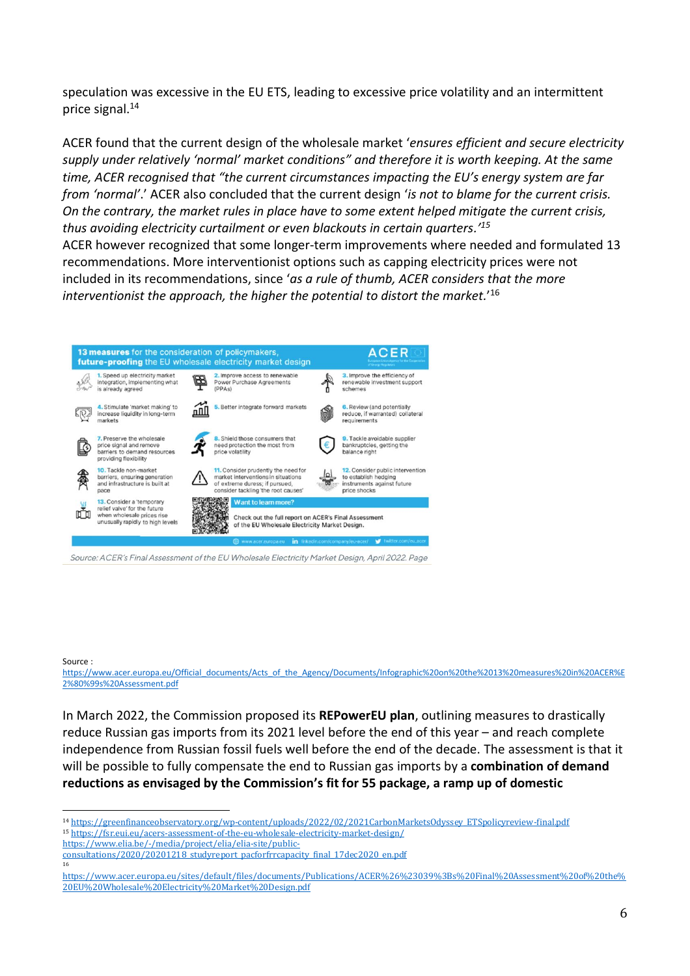speculation was excessive in the EU ETS, leading to excessive price volatility and an intermittent price signal.<sup>14</sup>

ACER found that the current design of the wholesale market '*ensures efficient and secure electricity supply under relatively 'normal' market conditions" and therefore it is worth keeping. At the same time, ACER recognised that "the current circumstances impacting the EU's energy system are far from 'normal'*.' ACER also concluded that the current design '*is not to blame for the current crisis. On the contrary, the market rules in place have to some extent helped mitigate the current crisis, thus avoiding electricity curtailment or even blackouts in certain quarters.' 15*

ACER however recognized that some longer-term improvements where needed and formulated 13 recommendations. More interventionist options such as capping electricity prices were not included in its recommendations, since '*as a rule of thumb, ACER considers that the more interventionist the approach, the higher the potential to distort the market.*' 16



Source: ACER's Final Assessment of the EU Wholesale Electricity Market Design, April 2022, Page

#### Source :

16

[https://www.acer.europa.eu/Official\\_documents/Acts\\_of\\_the\\_Agency/Documents/Infographic%20on%20the%2013%20measures%20in%20ACER%E](https://www.acer.europa.eu/Official_documents/Acts_of_the_Agency/Documents/Infographic%20on%20the%2013%20measures%20in%20ACER%E2%80%99s%20Assessment.pdf) [2%80%99s%20Assessment.pdf](https://www.acer.europa.eu/Official_documents/Acts_of_the_Agency/Documents/Infographic%20on%20the%2013%20measures%20in%20ACER%E2%80%99s%20Assessment.pdf)

In March 2022, the Commission proposed its **REPowerEU plan**, outlining measures to drastically reduce Russian gas imports from its 2021 level before the end of this year – and reach complete independence from Russian fossil fuels well before the end of the decade. The assessment is that it will be possible to fully compensate the end to Russian gas imports by a **combination of demand reductions as envisaged by the Commission's fit for 55 package, a ramp up of domestic** 

<sup>14</sup> [https://greenfinanceobservatory.org/wp-content/uploads/2022/02/2021CarbonMarketsOdyssey\\_ETSpolicyreview-final.pdf](https://greenfinanceobservatory.org/wp-content/uploads/2022/02/2021CarbonMarketsOdyssey_ETSpolicyreview-final.pdf) <sup>15</sup> <https://fsr.eui.eu/acers-assessment-of-the-eu-wholesale-electricity-market-design/>

[https://www.elia.be/-/media/project/elia/elia-site/public-](https://www.elia.be/-/media/project/elia/elia-site/public-consultations/2020/20201218_studyreport_pacforfrrcapacity_final_17dec2020_en.pdf)

[consultations/2020/20201218\\_studyreport\\_pacforfrrcapacity\\_final\\_17dec2020\\_en.pdf](https://www.elia.be/-/media/project/elia/elia-site/public-consultations/2020/20201218_studyreport_pacforfrrcapacity_final_17dec2020_en.pdf)

[https://www.acer.europa.eu/sites/default/files/documents/Publications/ACER%26%23039%3Bs%20Final%20Assessment%20of%20the%](https://www.acer.europa.eu/sites/default/files/documents/Publications/ACER%26%23039%3Bs%20Final%20Assessment%20of%20the%20EU%20Wholesale%20Electricity%20Market%20Design.pdf) [20EU%20Wholesale%20Electricity%20Market%20Design.pdf](https://www.acer.europa.eu/sites/default/files/documents/Publications/ACER%26%23039%3Bs%20Final%20Assessment%20of%20the%20EU%20Wholesale%20Electricity%20Market%20Design.pdf)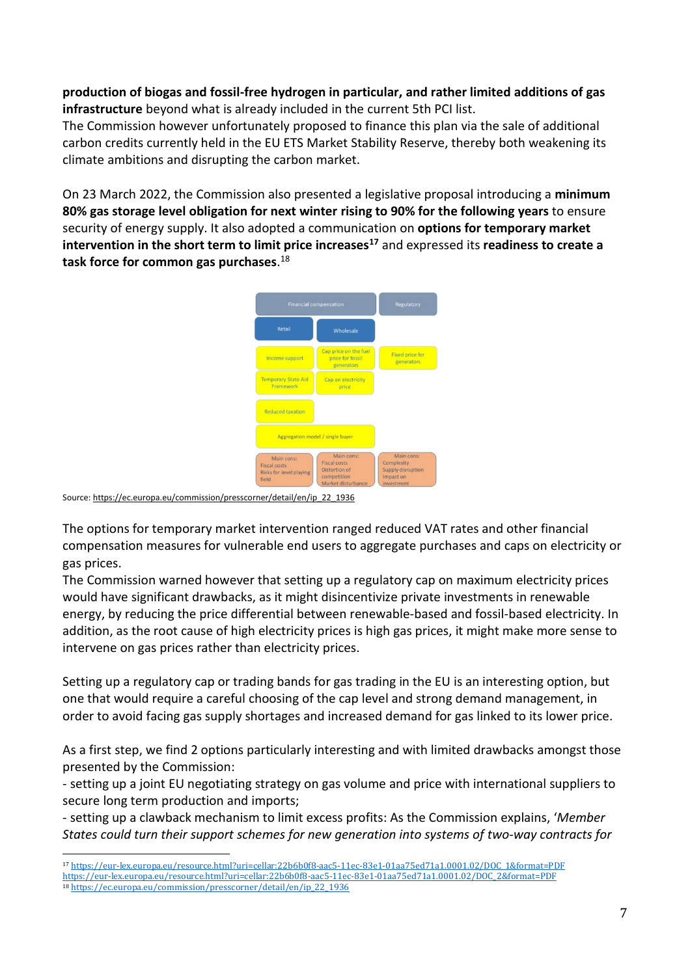## **production of biogas and fossil-free hydrogen in particular, and rather limited additions of gas infrastructure** beyond what is already included in the current 5th PCI list.

The Commission however unfortunately proposed to finance this plan via the sale of additional carbon credits currently held in the EU ETS Market Stability Reserve, thereby both weakening its climate ambitions and disrupting the carbon market.

On 23 March 2022, the Commission also presented a legislative proposal introducing a **minimum 80% gas storage level obligation for next winter rising to 90% for the following years** to ensure security of energy supply. It also adopted a communication on **options for temporary market intervention in the short term to limit price increases<sup>17</sup>** and expressed its **readiness to create a task force for common gas purchases**. 18



Source[: https://ec.europa.eu/commission/presscorner/detail/en/ip\\_22\\_1936](https://ec.europa.eu/commission/presscorner/detail/en/ip_22_1936)

The options for temporary market intervention ranged reduced VAT rates and other financial compensation measures for vulnerable end users to aggregate purchases and caps on electricity or gas prices.

The Commission warned however that setting up a regulatory cap on maximum electricity prices would have significant drawbacks, as it might disincentivize private investments in renewable energy, by reducing the price differential between renewable-based and fossil-based electricity. In addition, as the root cause of high electricity prices is high gas prices, it might make more sense to intervene on gas prices rather than electricity prices.

Setting up a regulatory cap or trading bands for gas trading in the EU is an interesting option, but one that would require a careful choosing of the cap level and strong demand management, in order to avoid facing gas supply shortages and increased demand for gas linked to its lower price.

As a first step, we find 2 options particularly interesting and with limited drawbacks amongst those presented by the Commission:

- setting up a joint EU negotiating strategy on gas volume and price with international suppliers to secure long term production and imports;

- setting up a clawback mechanism to limit excess profits: As the Commission explains, '*Member States could turn their support schemes for new generation into systems of two-way contracts for* 

[https://eur-lex.europa.eu/resource.html?uri=cellar:22b6b0f8-aac5-11ec-83e1-01aa75ed71a1.0001.02/DOC\\_2&format=PDF](https://eur-lex.europa.eu/resource.html?uri=cellar:22b6b0f8-aac5-11ec-83e1-01aa75ed71a1.0001.02/DOC_2&format=PDF)

<sup>17</sup> [https://eur-lex.europa.eu/resource.html?uri=cellar:22b6b0f8-aac5-11ec-83e1-01aa75ed71a1.0001.02/DOC\\_1&format=PDF](https://eur-lex.europa.eu/resource.html?uri=cellar:22b6b0f8-aac5-11ec-83e1-01aa75ed71a1.0001.02/DOC_1&format=PDF)

<sup>18</sup> [https://ec.europa.eu/commission/presscorner/detail/en/ip\\_22\\_1936](https://ec.europa.eu/commission/presscorner/detail/en/ip_22_1936)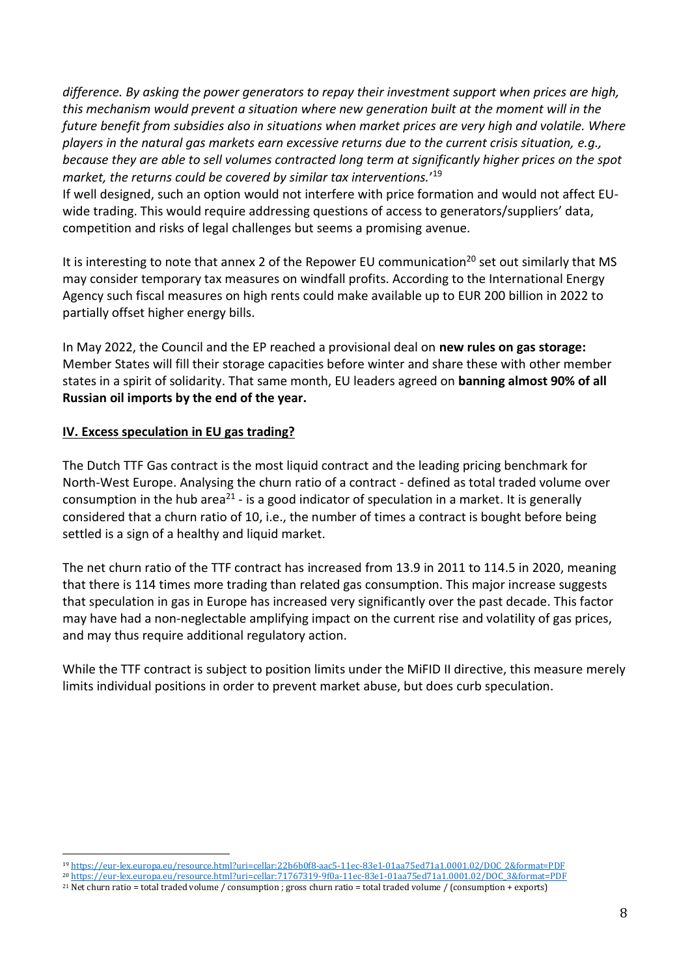*difference. By asking the power generators to repay their investment support when prices are high, this mechanism would prevent a situation where new generation built at the moment will in the future benefit from subsidies also in situations when market prices are very high and volatile. Where players in the natural gas markets earn excessive returns due to the current crisis situation, e.g., because they are able to sell volumes contracted long term at significantly higher prices on the spot market, the returns could be covered by similar tax interventions.*' 19

If well designed, such an option would not interfere with price formation and would not affect EUwide trading. This would require addressing questions of access to generators/suppliers' data, competition and risks of legal challenges but seems a promising avenue.

It is interesting to note that annex 2 of the Repower EU communication<sup>20</sup> set out similarly that MS may consider temporary tax measures on windfall profits. According to the International Energy Agency such fiscal measures on high rents could make available up to EUR 200 billion in 2022 to partially offset higher energy bills.

In May 2022, the Council and the EP reached a provisional deal on **new rules on gas storage:** Member States will fill their storage capacities before winter and share these with other member states in a spirit of solidarity. That same month, EU leaders agreed on **banning almost 90% of all Russian oil imports by the end of the year.**

## **IV. Excess speculation in EU gas trading?**

The Dutch TTF Gas contract is the most liquid contract and the leading pricing benchmark for North-West Europe. Analysing the churn ratio of a contract - defined as total traded volume over consumption in the hub area<sup>21</sup> - is a good indicator of speculation in a market. It is generally considered that a churn ratio of 10, i.e., the number of times a contract is bought before being settled is a sign of a healthy and liquid market.

The net churn ratio of the TTF contract has increased from 13.9 in 2011 to 114.5 in 2020, meaning that there is 114 times more trading than related gas consumption. This major increase suggests that speculation in gas in Europe has increased very significantly over the past decade. This factor may have had a non-neglectable amplifying impact on the current rise and volatility of gas prices, and may thus require additional regulatory action.

While the TTF contract is subject to position limits under the MiFID II directive, this measure merely limits individual positions in order to prevent market abuse, but does curb speculation.

<sup>19</sup> [https://eur-lex.europa.eu/resource.html?uri=cellar:22b6b0f8-aac5-11ec-83e1-01aa75ed71a1.0001.02/DOC\\_2&format=PDF](https://eur-lex.europa.eu/resource.html?uri=cellar:22b6b0f8-aac5-11ec-83e1-01aa75ed71a1.0001.02/DOC_2&format=PDF)

<sup>20</sup> [https://eur-lex.europa.eu/resource.html?uri=cellar:71767319-9f0a-11ec-83e1-01aa75ed71a1.0001.02/DOC\\_3&format=PDF](https://eur-lex.europa.eu/resource.html?uri=cellar:71767319-9f0a-11ec-83e1-01aa75ed71a1.0001.02/DOC_3&format=PDF)

<sup>21</sup> Net churn ratio = total traded volume / consumption ; gross churn ratio = total traded volume / (consumption + exports)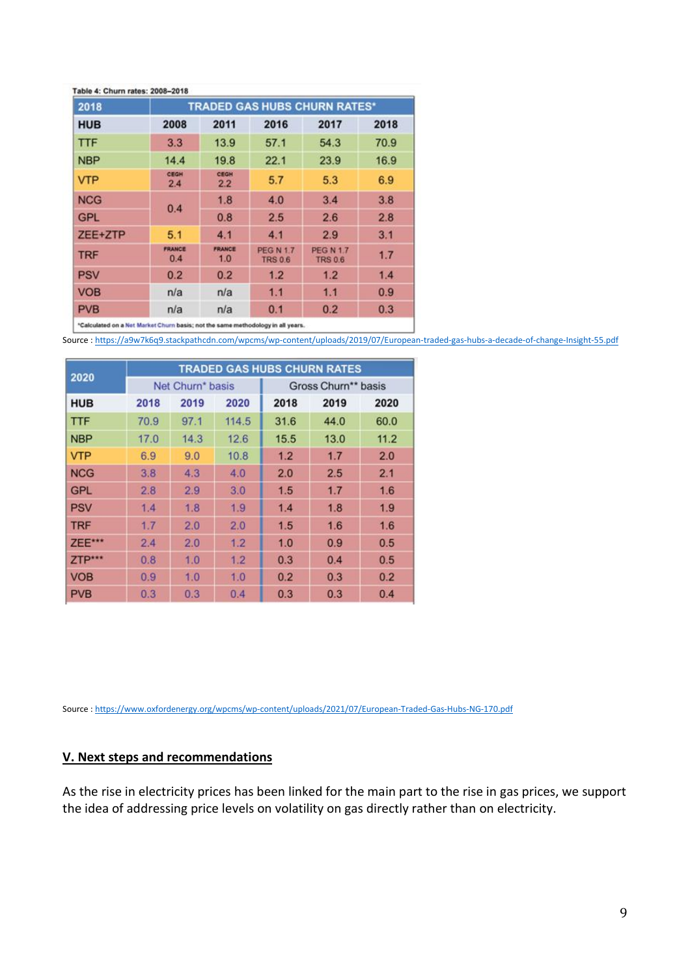| 2018       | <b>TRADED GAS HUBS CHURN RATES*</b> |                      |                                    |                                    |      |  |  |  |  |
|------------|-------------------------------------|----------------------|------------------------------------|------------------------------------|------|--|--|--|--|
| <b>HUB</b> | 2008                                | 2011                 | 2016                               | 2017                               | 2018 |  |  |  |  |
| <b>TTF</b> | 3.3                                 | 13.9                 | 57.1                               | 54.3                               | 70.9 |  |  |  |  |
| <b>NBP</b> | 14.4                                | 19.8                 | 22.1                               | 23.9                               | 16.9 |  |  |  |  |
| <b>VTP</b> | CEGH<br>2.4                         | CEGH<br>2.2          | 5.7                                | 5.3                                | 6.9  |  |  |  |  |
| <b>NCG</b> | 0.4                                 | 1.8                  | 4.0                                | 3.4                                | 3.8  |  |  |  |  |
| <b>GPL</b> |                                     | 0.8                  | 2.5                                | 2.6                                | 2.8  |  |  |  |  |
| ZEE+ZTP    | 5.1                                 | 4.1                  | 4.1                                | 2.9                                | 3.1  |  |  |  |  |
| <b>TRF</b> | <b>FRANCE</b><br>0.4                | <b>FRANCE</b><br>1.0 | <b>PEG N 1.7</b><br><b>TRS 0.6</b> | <b>PEG N 1.7</b><br><b>TRS 0.6</b> | 1.7  |  |  |  |  |
| <b>PSV</b> | 0.2                                 | 0.2                  | 1.2                                | 1.2                                | 1.4  |  |  |  |  |
| <b>VOB</b> | n/a                                 | n/a                  | 1.1                                | 1.1                                | 0.9  |  |  |  |  |
| <b>PVB</b> | n/a                                 | n/a                  | 0.1                                | 0.2                                | 0.3  |  |  |  |  |

\*Calculated on a Net Market Churn basis; not the same methodology in all years.

Source : <https://a9w7k6q9.stackpathcdn.com/wpcms/wp-content/uploads/2019/07/European-traded-gas-hubs-a-decade-of-change-Insight-55.pdf>

| 2020       | <b>TRADED GAS HUBS CHURN RATES</b> |      |       |                     |      |      |  |  |  |
|------------|------------------------------------|------|-------|---------------------|------|------|--|--|--|
|            | Net Churn* basis                   |      |       | Gross Churn** basis |      |      |  |  |  |
| <b>HUB</b> | 2018                               | 2019 | 2020  | 2018                | 2019 | 2020 |  |  |  |
| <b>TTF</b> | 70.9                               | 97.1 | 114.5 | 31.6                | 44.0 | 60.0 |  |  |  |
| <b>NBP</b> | 17.0                               | 14.3 | 12.6  | 15.5                | 13.0 | 11.2 |  |  |  |
| <b>VTP</b> | 6.9                                | 9.0  | 10.8  | 1.2                 | 1.7  | 2.0  |  |  |  |
| <b>NCG</b> | 3.8                                | 4.3  | 4.0   | 2.0                 | 2.5  | 2.1  |  |  |  |
| <b>GPL</b> | 2.8                                | 2.9  | 3.0   | 1.5                 | 1.7  | 1.6  |  |  |  |
| <b>PSV</b> | 1.4                                | 1.8  | 1.9   | 1.4                 | 1.8  | 1.9  |  |  |  |
| <b>TRF</b> | 1.7                                | 2.0  | 2.0   | 1.5                 | 1.6  | 1.6  |  |  |  |
| ZEE***     | 2.4                                | 2.0  | 1.2   | 1.0                 | 0.9  | 0.5  |  |  |  |
| ZTP***     | 0.8                                | 1.0  | 1.2   | 0.3                 | 0.4  | 0.5  |  |  |  |
| <b>VOB</b> | 0.9                                | 1.0  | 1.0   | 0.2                 | 0.3  | 0.2  |  |  |  |
| <b>PVB</b> | 0.3                                | 0.3  | 0.4   | 0.3                 | 0.3  | 0.4  |  |  |  |

Source : <https://www.oxfordenergy.org/wpcms/wp-content/uploads/2021/07/European-Traded-Gas-Hubs-NG-170.pdf>

# **V. Next steps and recommendations**

As the rise in electricity prices has been linked for the main part to the rise in gas prices, we support the idea of addressing price levels on volatility on gas directly rather than on electricity.